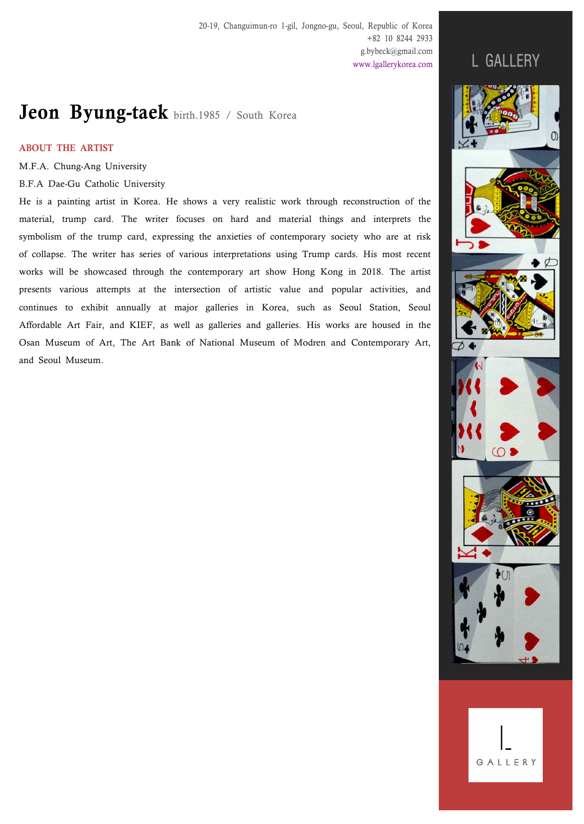# Jeon Byung-taek birth.1985 / South Korea

# ABOUT THE ARTIST

M.F.A. Chung-Ang University

B.F.A Dae-Gu Catholic University

He is a painting artist in Korea. He shows a very realistic work through reconstruction of the material, trump card. The writer focuses on hard and material things and interprets the symbolism of the trump card, expressing the anxieties of contemporary society who are at risk of collapse. The writer has series of various interpretations using Trump cards. His most recent works will be showcased through the contemporary art show Hong Kong in 2018. The artist presents various attempts at the intersection of artistic value and popular activities, and continues to exhibit annually at major galleries in Korea, such as Seoul Station, Seoul Affordable Art Fair, and KIEF, as well as galleries and galleries. His works are housed in the Osan Museum of Art, The Art Bank of National Museum of Modren and Contemporary Art, and Seoul Museum.

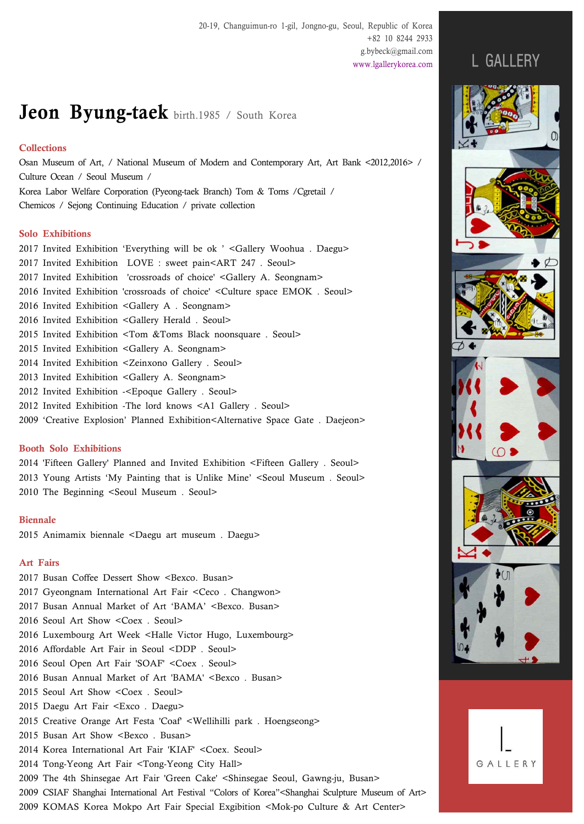# Jeon Byung-taek birth.1985 / South Korea

## **Collections**

Osan Museum of Art, / National Museum of Modern and Contemporary Art, Art Bank <2012,2016> / Culture Ocean / Seoul Museum / Korea Labor Welfare Corporation (Pyeong-taek Branch) Tom & Toms /Cgretail /

Chemicos / Sejong Continuing Education / private collection

# Solo Exhibitions

|  | 2017 Invited Exhibition 'Everything will be ok ' <gallery .="" daegu="" woohua=""></gallery> |
|--|----------------------------------------------------------------------------------------------|
|  | 2017 Invited Exhibition LOVE : sweet pain <art .="" 247="" seoul=""></art>                   |
|  | 2017 Invited Exhibition crossroads of choice' <gallery a.="" seongnam=""></gallery>          |
|  | 2016 Invited Exhibition 'crossroads of choice' < Culture space EMOK. Seoul>                  |
|  | 2016 Invited Exhibition <gallery .="" a="" seongnam=""></gallery>                            |
|  | 2016 Invited Exhibition <gallery .="" herald="" seoul=""></gallery>                          |
|  | 2015 Invited Exhibition <tom &toms="" .="" black="" noonsquare="" seoul=""></tom>            |
|  | 2015 Invited Exhibition <gallery a.="" seongnam=""></gallery>                                |
|  | 2014 Invited Exhibition <zeinxono .="" gallery="" seoul=""></zeinxono>                       |
|  | 2013 Invited Exhibition <gallery a.="" seongnam=""></gallery>                                |
|  | 2012 Invited Exhibition - <epoque .="" gallery="" seoul=""></epoque>                         |
|  | 2012 Invited Exhibition - The lord knows < A1 Gallery . Seoul>                               |

2009 'Creative Explosion' Planned Exhibition<Alternative Space Gate . Daejeon>

# Booth Solo Exhibitions

2014 'Fifteen Gallery' Planned and Invited Exhibition <Fifteen Gallery . Seoul> 2013 Young Artists 'My Painting that is Unlike Mine' <Seoul Museum . Seoul> 2010 The Beginning <Seoul Museum . Seoul>

### Biennale

2015 Animamix biennale <Daegu art museum . Daegu>

## Art Fairs

2017 Busan Coffee Dessert Show <Bexco. Busan> 2017 Gyeongnam International Art Fair <Ceco . Changwon> 2017 Busan Annual Market of Art 'BAMA' <Bexco. Busan> 2016 Seoul Art Show <Coex . Seoul> 2016 Luxembourg Art Week <Halle Victor Hugo, Luxembourg> 2016 Affordable Art Fair in Seoul <DDP . Seoul> 2016 Seoul Open Art Fair 'SOAF' <Coex . Seoul> 2016 Busan Annual Market of Art 'BAMA' <Bexco. Busan> 2015 Seoul Art Show <Coex . Seoul> 2015 Daegu Art Fair <Exco . Daegu> 2015 Creative Orange Art Festa 'Coaf' <Wellihilli park . Hoengseong> 2015 Busan Art Show <Bexco . Busan> 2014 Korea International Art Fair 'KIAF' <Coex. Seoul> 2014 Tong-Yeong Art Fair <Tong-Yeong City Hall> 2009 The 4th Shinsegae Art Fair 'Green Cake' <Shinsegae Seoul, Gawng-ju, Busan> 2009 CSIAF Shanghai International Art Festival "Colors of Korea"<Shanghai Sculpture Museum of Art>

2009 KOMAS Korea Mokpo Art Fair Special Exgibition <Mok-po Culture & Art Center>